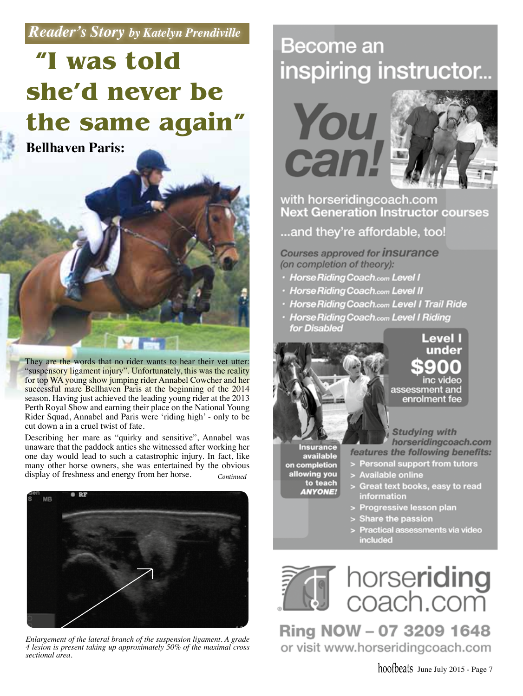### *Reader's Story by Katelyn Prendiville*

## **"I was told she'd never be the same again"**

**Bellhaven Paris:**



They are the words that no rider wants to hear their vet utter: "suspensory ligament injury". Unfortunately, this was the reality for top WA young show jumping rider Annabel Cowcher and her successful mare Bellhaven Paris at the beginning of the 2014 season. Having just achieved the leading young rider at the 2013 Perth Royal Show and earning their place on the National Young Rider Squad, Annabel and Paris were 'riding high' - only to be cut down a in a cruel twist of fate.

Describing her mare as "quirky and sensitive", Annabel was unaware that the paddock antics she witnessed after working her one day would lead to such a catastrophic injury. In fact, like many other horse owners, she was entertained by the obvious display of freshness and energy from her horse. *Continued*



*Enlargement of the lateral branch of the suspension ligament. A grade 4 lesion is present taking up approximately 50% of the maximal cross sectional area.* 

### **Become an** inspiring instructor...

# **You** can.



### with horseridingcoach.com **Next Generation Instructor courses**

...and they're affordable, too!

**Courses approved for insurance** (on completion of theory):

- · Horse Riding Coach.com Level I
- · Horse Riding Coach.com Level II
- **Horse Riding Coach.com Level I Trail Ride**
- · Horse Riding Coach.com Level I Riding for Disabled **Level I**



under inc videc assessment and enrolment fee

Insurance available on completion allowing you to teach **ANYONE!** 

**Studying with** horseridingcoach.com features the following benefits:

- > Personal support from tutors
- > Available online
- Great text books, easy to read information
- > Progressive lesson plan
- > Share the passion
- > Practical assessments via video included



Ring NOW - 07 3209 1648 or visit www.horseridingcoach.com